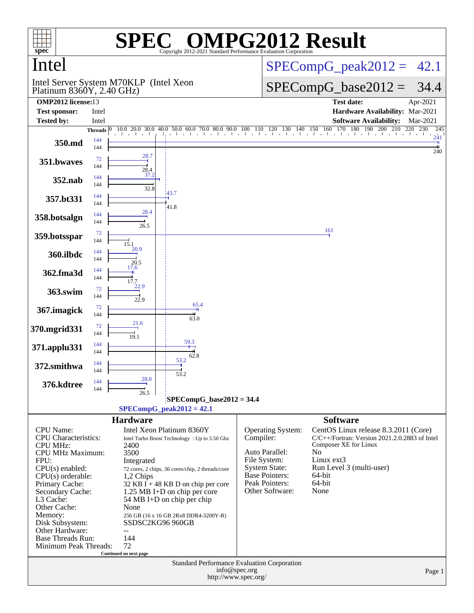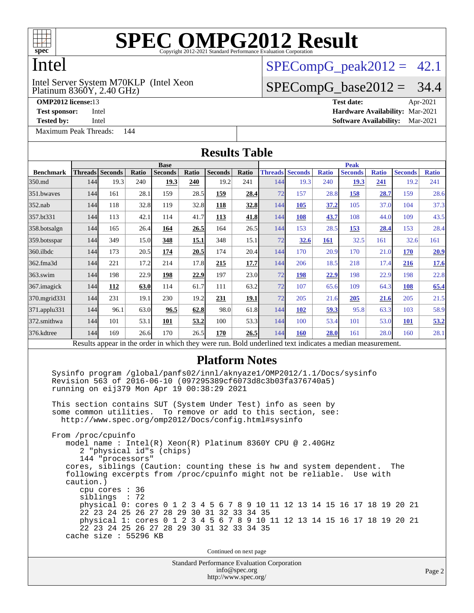

## Intel

Platinum 8360Y, 2.40 GHz) Intel Server System M70KLP (Intel Xeon

[Maximum Peak Threads:](http://www.spec.org/auto/omp2012/Docs/result-fields.html#MaximumPeakThreads) 144

 $SPECompG<sub>peak2012</sub> = 42.1$ 

#### $SPECompG_base2012 = 34.4$  $SPECompG_base2012 = 34.4$

**[OMP2012 license:](http://www.spec.org/auto/omp2012/Docs/result-fields.html#OMP2012license)**13 **[Test date:](http://www.spec.org/auto/omp2012/Docs/result-fields.html#Testdate)** Apr-2021 **[Test sponsor:](http://www.spec.org/auto/omp2012/Docs/result-fields.html#Testsponsor)** Intel **[Hardware Availability:](http://www.spec.org/auto/omp2012/Docs/result-fields.html#HardwareAvailability)** Mar-2021 **[Tested by:](http://www.spec.org/auto/omp2012/Docs/result-fields.html#Testedby)** Intel **[Software Availability:](http://www.spec.org/auto/omp2012/Docs/result-fields.html#SoftwareAvailability)** Mar-2021

Standard Performance Evaluation Corporation [info@spec.org](mailto:info@spec.org) **[Results Table](http://www.spec.org/auto/omp2012/Docs/result-fields.html#ResultsTable) [Benchmark](http://www.spec.org/auto/omp2012/Docs/result-fields.html#Benchmark) [Threads](http://www.spec.org/auto/omp2012/Docs/result-fields.html#Threads) [Seconds](http://www.spec.org/auto/omp2012/Docs/result-fields.html#Seconds) [Ratio](http://www.spec.org/auto/omp2012/Docs/result-fields.html#Ratio) [Seconds](http://www.spec.org/auto/omp2012/Docs/result-fields.html#Seconds) [Ratio](http://www.spec.org/auto/omp2012/Docs/result-fields.html#Ratio) [Seconds](http://www.spec.org/auto/omp2012/Docs/result-fields.html#Seconds) [Ratio](http://www.spec.org/auto/omp2012/Docs/result-fields.html#Ratio) Base [Threads](http://www.spec.org/auto/omp2012/Docs/result-fields.html#Threads) [Seconds](http://www.spec.org/auto/omp2012/Docs/result-fields.html#Seconds) [Ratio](http://www.spec.org/auto/omp2012/Docs/result-fields.html#Ratio) [Seconds](http://www.spec.org/auto/omp2012/Docs/result-fields.html#Seconds) [Ratio](http://www.spec.org/auto/omp2012/Docs/result-fields.html#Ratio) [Seconds](http://www.spec.org/auto/omp2012/Docs/result-fields.html#Seconds) [Ratio](http://www.spec.org/auto/omp2012/Docs/result-fields.html#Ratio) Peak** [350.md](http://www.spec.org/auto/omp2012/Docs/350.md.html) 144 19.3 240 **[19.3](http://www.spec.org/auto/omp2012/Docs/result-fields.html#Median) [240](http://www.spec.org/auto/omp2012/Docs/result-fields.html#Median)** 19.2 241 144 19.3 240 **[19.3](http://www.spec.org/auto/omp2012/Docs/result-fields.html#Median) [241](http://www.spec.org/auto/omp2012/Docs/result-fields.html#Median)** 19.2 241 [351.bwaves](http://www.spec.org/auto/omp2012/Docs/351.bwaves.html) 144 161 28.1 159 28.5 **[159](http://www.spec.org/auto/omp2012/Docs/result-fields.html#Median) [28.4](http://www.spec.org/auto/omp2012/Docs/result-fields.html#Median)** 72 157 28.8 **[158](http://www.spec.org/auto/omp2012/Docs/result-fields.html#Median) [28.7](http://www.spec.org/auto/omp2012/Docs/result-fields.html#Median)** 159 28.6 [352.nab](http://www.spec.org/auto/omp2012/Docs/352.nab.html) 144 118 32.8 119 32.8 **[118](http://www.spec.org/auto/omp2012/Docs/result-fields.html#Median) [32.8](http://www.spec.org/auto/omp2012/Docs/result-fields.html#Median)** 144 **[105](http://www.spec.org/auto/omp2012/Docs/result-fields.html#Median) [37.2](http://www.spec.org/auto/omp2012/Docs/result-fields.html#Median)** 105 37.0 104 37.3 [357.bt331](http://www.spec.org/auto/omp2012/Docs/357.bt331.html) 144 113 42.1 114 41.7 **[113](http://www.spec.org/auto/omp2012/Docs/result-fields.html#Median) [41.8](http://www.spec.org/auto/omp2012/Docs/result-fields.html#Median)** 144 **[108](http://www.spec.org/auto/omp2012/Docs/result-fields.html#Median) [43.7](http://www.spec.org/auto/omp2012/Docs/result-fields.html#Median)** 108 44.0 109 43.5 [358.botsalgn](http://www.spec.org/auto/omp2012/Docs/358.botsalgn.html) 144 165 26.4 **[164](http://www.spec.org/auto/omp2012/Docs/result-fields.html#Median) [26.5](http://www.spec.org/auto/omp2012/Docs/result-fields.html#Median)** 164 26.5 144 153 28.5 **[153](http://www.spec.org/auto/omp2012/Docs/result-fields.html#Median) [28.4](http://www.spec.org/auto/omp2012/Docs/result-fields.html#Median)** 153 28.4 [359.botsspar](http://www.spec.org/auto/omp2012/Docs/359.botsspar.html) 144 349 15.0 **[348](http://www.spec.org/auto/omp2012/Docs/result-fields.html#Median) [15.1](http://www.spec.org/auto/omp2012/Docs/result-fields.html#Median)** 348 15.1 72 **[32.6](http://www.spec.org/auto/omp2012/Docs/result-fields.html#Median) [161](http://www.spec.org/auto/omp2012/Docs/result-fields.html#Median)** 32.5 161 32.6 161 [360.ilbdc](http://www.spec.org/auto/omp2012/Docs/360.ilbdc.html) 144 173 20.5 **[174](http://www.spec.org/auto/omp2012/Docs/result-fields.html#Median) [20.5](http://www.spec.org/auto/omp2012/Docs/result-fields.html#Median)** 174 20.4 144 170 20.9 170 21.0 **[170](http://www.spec.org/auto/omp2012/Docs/result-fields.html#Median) [20.9](http://www.spec.org/auto/omp2012/Docs/result-fields.html#Median)** [362.fma3d](http://www.spec.org/auto/omp2012/Docs/362.fma3d.html) 144 221 17.2 214 17.8 **[215](http://www.spec.org/auto/omp2012/Docs/result-fields.html#Median) [17.7](http://www.spec.org/auto/omp2012/Docs/result-fields.html#Median)** 144 206 18.5 218 17.4 **[216](http://www.spec.org/auto/omp2012/Docs/result-fields.html#Median) [17.6](http://www.spec.org/auto/omp2012/Docs/result-fields.html#Median)** [363.swim](http://www.spec.org/auto/omp2012/Docs/363.swim.html) 144 198 22.9 **[198](http://www.spec.org/auto/omp2012/Docs/result-fields.html#Median) [22.9](http://www.spec.org/auto/omp2012/Docs/result-fields.html#Median)** 197 23.0 72 **[198](http://www.spec.org/auto/omp2012/Docs/result-fields.html#Median) [22.9](http://www.spec.org/auto/omp2012/Docs/result-fields.html#Median)** 198 22.9 198 22.8 [367.imagick](http://www.spec.org/auto/omp2012/Docs/367.imagick.html) 144 **[112](http://www.spec.org/auto/omp2012/Docs/result-fields.html#Median) [63.0](http://www.spec.org/auto/omp2012/Docs/result-fields.html#Median)** 114 61.7 111 63.2 72 107 65.6 109 64.3 **[108](http://www.spec.org/auto/omp2012/Docs/result-fields.html#Median) [65.4](http://www.spec.org/auto/omp2012/Docs/result-fields.html#Median)** [370.mgrid331](http://www.spec.org/auto/omp2012/Docs/370.mgrid331.html) 144 231 19.1 230 19.2 **[231](http://www.spec.org/auto/omp2012/Docs/result-fields.html#Median) [19.1](http://www.spec.org/auto/omp2012/Docs/result-fields.html#Median)** 72 205 21.6 **[205](http://www.spec.org/auto/omp2012/Docs/result-fields.html#Median) [21.6](http://www.spec.org/auto/omp2012/Docs/result-fields.html#Median)** 205 21.5 [371.applu331](http://www.spec.org/auto/omp2012/Docs/371.applu331.html) 144 96.1 63.0 **[96.5](http://www.spec.org/auto/omp2012/Docs/result-fields.html#Median) [62.8](http://www.spec.org/auto/omp2012/Docs/result-fields.html#Median)** 98.0 61.8 144 **[102](http://www.spec.org/auto/omp2012/Docs/result-fields.html#Median) [59.3](http://www.spec.org/auto/omp2012/Docs/result-fields.html#Median)** 95.8 63.3 103 58.9 [372.smithwa](http://www.spec.org/auto/omp2012/Docs/372.smithwa.html) 144 101 53.1 **[101](http://www.spec.org/auto/omp2012/Docs/result-fields.html#Median) [53.2](http://www.spec.org/auto/omp2012/Docs/result-fields.html#Median)** 100 53.3 144 100 53.4 101 53.0 **[101](http://www.spec.org/auto/omp2012/Docs/result-fields.html#Median) [53.2](http://www.spec.org/auto/omp2012/Docs/result-fields.html#Median)** [376.kdtree](http://www.spec.org/auto/omp2012/Docs/376.kdtree.html) 144 169 26.6 170 26.5 **[170](http://www.spec.org/auto/omp2012/Docs/result-fields.html#Median) [26.5](http://www.spec.org/auto/omp2012/Docs/result-fields.html#Median)** 144 **[160](http://www.spec.org/auto/omp2012/Docs/result-fields.html#Median) [28.0](http://www.spec.org/auto/omp2012/Docs/result-fields.html#Median)** 161 28.0 160 28.1 Results appear in the [order in which they were run.](http://www.spec.org/auto/omp2012/Docs/result-fields.html#RunOrder) Bold underlined text [indicates a median measurement.](http://www.spec.org/auto/omp2012/Docs/result-fields.html#Median) **[Platform Notes](http://www.spec.org/auto/omp2012/Docs/result-fields.html#PlatformNotes)** Sysinfo program /global/panfs02/innl/aknyaze1/OMP2012/1.1/Docs/sysinfo Revision 563 of 2016-06-10 (097295389cf6073d8c3b03fa376740a5) running on eij379 Mon Apr 19 00:38:29 2021 This section contains SUT (System Under Test) info as seen by some common utilities. To remove or add to this section, see: <http://www.spec.org/omp2012/Docs/config.html#sysinfo> From /proc/cpuinfo model name : Intel(R) Xeon(R) Platinum 8360Y CPU @ 2.40GHz 2 "physical id"s (chips) 144 "processors" cores, siblings (Caution: counting these is hw and system dependent. The following excerpts from /proc/cpuinfo might not be reliable. Use with caution.) cpu cores : 36 siblings : 72 physical 0: cores 0 1 2 3 4 5 6 7 8 9 10 11 12 13 14 15 16 17 18 19 20 21 22 23 24 25 26 27 28 29 30 31 32 33 34 35 physical 1: cores 0 1 2 3 4 5 6 7 8 9 10 11 12 13 14 15 16 17 18 19 20 21 22 23 24 25 26 27 28 29 30 31 32 33 34 35 cache size : 55296 KB Continued on next page

<http://www.spec.org/>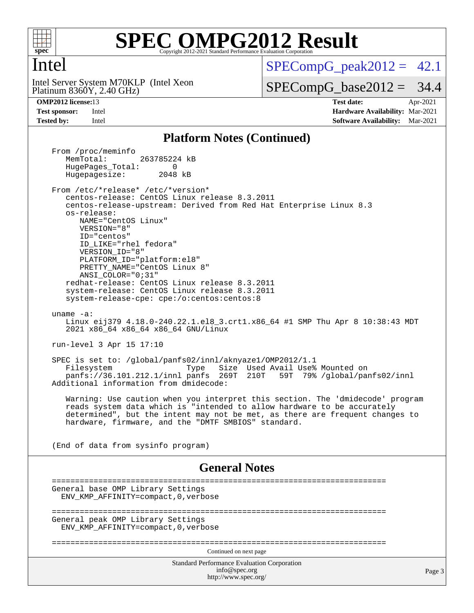

### Intel

Platinum 8360Y, 2.40 GHz) Intel Server System M70KLP (Intel Xeon  $SPECompG<sub>peak2012</sub> = 42.1$ 

 $SPECompG_base2012 = 34.4$  $SPECompG_base2012 = 34.4$ 

**[OMP2012 license:](http://www.spec.org/auto/omp2012/Docs/result-fields.html#OMP2012license)**13 **[Test date:](http://www.spec.org/auto/omp2012/Docs/result-fields.html#Testdate)** Apr-2021 **[Test sponsor:](http://www.spec.org/auto/omp2012/Docs/result-fields.html#Testsponsor)** Intel **[Hardware Availability:](http://www.spec.org/auto/omp2012/Docs/result-fields.html#HardwareAvailability)** Mar-2021 **[Tested by:](http://www.spec.org/auto/omp2012/Docs/result-fields.html#Testedby)** Intel **[Software Availability:](http://www.spec.org/auto/omp2012/Docs/result-fields.html#SoftwareAvailability)** Mar-2021

#### **[Platform Notes \(Continued\)](http://www.spec.org/auto/omp2012/Docs/result-fields.html#PlatformNotes)**

Standard Performance Evaluation Corporation [info@spec.org](mailto:info@spec.org) <http://www.spec.org/> Page 3 From /proc/meminfo<br>MemTotal: 263785224 kB HugePages\_Total: 0<br>Hugepagesize: 2048 kB Hugepagesize: From /etc/\*release\* /etc/\*version\* centos-release: CentOS Linux release 8.3.2011 centos-release-upstream: Derived from Red Hat Enterprise Linux 8.3 os-release: NAME="CentOS Linux" VERSION="8" ID="centos" ID\_LIKE="rhel fedora" VERSION\_ID="8" PLATFORM\_ID="platform:el8" PRETTY\_NAME="CentOS\_Linux 8" ANSI\_COLOR="0;31" redhat-release: CentOS Linux release 8.3.2011 system-release: CentOS Linux release 8.3.2011 system-release-cpe: cpe:/o:centos:centos:8 uname -a: Linux eij379 4.18.0-240.22.1.el8\_3.crt1.x86\_64 #1 SMP Thu Apr 8 10:38:43 MDT 2021 x86\_64 x86\_64 x86\_64 GNU/Linux run-level 3 Apr 15 17:10 SPEC is set to: /global/panfs02/innl/aknyaze1/OMP2012/1.1 Type Size Used Avail Use% Mounted on<br>panfs 269T 210T 59T 79% /global/par panfs://36.101.212.1/innl panfs 269T 210T 59T 79% /global/panfs02/innl Additional information from dmidecode: Warning: Use caution when you interpret this section. The 'dmidecode' program reads system data which is "intended to allow hardware to be accurately determined", but the intent may not be met, as there are frequent changes to hardware, firmware, and the "DMTF SMBIOS" standard. (End of data from sysinfo program) **[General Notes](http://www.spec.org/auto/omp2012/Docs/result-fields.html#GeneralNotes)** ======================================================================== General base OMP Library Settings ENV\_KMP\_AFFINITY=compact,0,verbose ======================================================================== General peak OMP Library Settings ENV\_KMP\_AFFINITY=compact,0,verbose ======================================================================== Continued on next page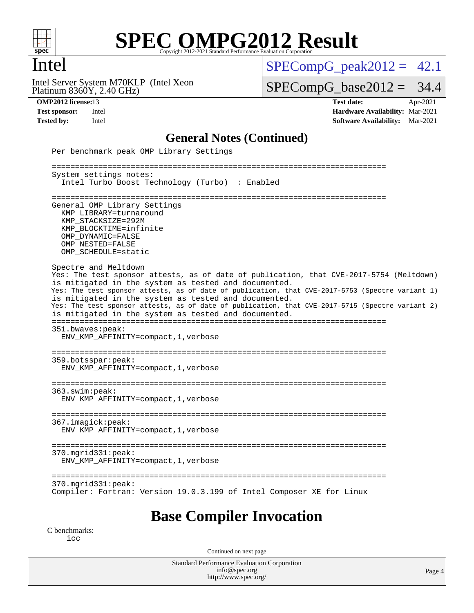

### Intel

Platinum 8360Y, 2.40 GHz) Intel Server System M70KLP (Intel Xeon  $SPECompG_peak2012 = 42.1$  $SPECompG_peak2012 = 42.1$ 

 $SPECompG_base2012 = 34.4$  $SPECompG_base2012 = 34.4$ 

**[OMP2012 license:](http://www.spec.org/auto/omp2012/Docs/result-fields.html#OMP2012license)**13 **[Test date:](http://www.spec.org/auto/omp2012/Docs/result-fields.html#Testdate)** Apr-2021 **[Test sponsor:](http://www.spec.org/auto/omp2012/Docs/result-fields.html#Testsponsor)** Intel **[Hardware Availability:](http://www.spec.org/auto/omp2012/Docs/result-fields.html#HardwareAvailability)** Mar-2021 **[Tested by:](http://www.spec.org/auto/omp2012/Docs/result-fields.html#Testedby)** Intel **[Software Availability:](http://www.spec.org/auto/omp2012/Docs/result-fields.html#SoftwareAvailability)** Mar-2021

#### **[General Notes \(Continued\)](http://www.spec.org/auto/omp2012/Docs/result-fields.html#GeneralNotes)**

| Per benchmark peak OMP Library Settings                                                                                                                                                                                                                                                                                                                                                                                                                                                         |
|-------------------------------------------------------------------------------------------------------------------------------------------------------------------------------------------------------------------------------------------------------------------------------------------------------------------------------------------------------------------------------------------------------------------------------------------------------------------------------------------------|
| ================================<br>System settings notes:                                                                                                                                                                                                                                                                                                                                                                                                                                      |
| Intel Turbo Boost Technology (Turbo) : Enabled                                                                                                                                                                                                                                                                                                                                                                                                                                                  |
| General OMP Library Settings<br>KMP LIBRARY=turnaround<br>KMP STACKSIZE=292M<br>KMP BLOCKTIME=infinite<br>OMP DYNAMIC=FALSE<br>OMP NESTED=FALSE<br>OMP_SCHEDULE=static                                                                                                                                                                                                                                                                                                                          |
| Spectre and Meltdown<br>Yes: The test sponsor attests, as of date of publication, that CVE-2017-5754 (Meltdown)<br>is mitigated in the system as tested and documented.<br>Yes: The test sponsor attests, as of date of publication, that CVE-2017-5753 (Spectre variant 1)<br>is mitigated in the system as tested and documented.<br>Yes: The test sponsor attests, as of date of publication, that CVE-2017-5715 (Spectre variant 2)<br>is mitigated in the system as tested and documented. |
| 351.bwaves:peak:<br>ENV_KMP_AFFINITY=compact, 1, verbose<br>359.botsspar:peak:<br>ENV_KMP_AFFINITY=compact, 1, verbose                                                                                                                                                                                                                                                                                                                                                                          |
| 363.swim:peak:<br>ENV KMP AFFINITY=compact, 1, verbose                                                                                                                                                                                                                                                                                                                                                                                                                                          |
| 367.imagick:peak:<br>ENV_KMP_AFFINITY=compact, 1, verbose                                                                                                                                                                                                                                                                                                                                                                                                                                       |
| $370.\text{mgrid}331:\text{peak}:$<br>ENV KMP AFFINITY=compact, 1, verbose                                                                                                                                                                                                                                                                                                                                                                                                                      |
| $370.\text{mgrid}331:\text{peak}:$<br>Compiler: Fortran: Version 19.0.3.199 of Intel Composer XE for Linux                                                                                                                                                                                                                                                                                                                                                                                      |
| <b>Base Compiler Invocation</b>                                                                                                                                                                                                                                                                                                                                                                                                                                                                 |

[C benchmarks](http://www.spec.org/auto/omp2012/Docs/result-fields.html#Cbenchmarks): [icc](http://www.spec.org/omp2012/results/res2021q2/omp2012-20210419-00201.flags.html#user_CCbase_intel_icc_a87c68a857bc5ec5362391a49d3a37a6)

Continued on next page

Standard Performance Evaluation Corporation [info@spec.org](mailto:info@spec.org) <http://www.spec.org/>

Page 4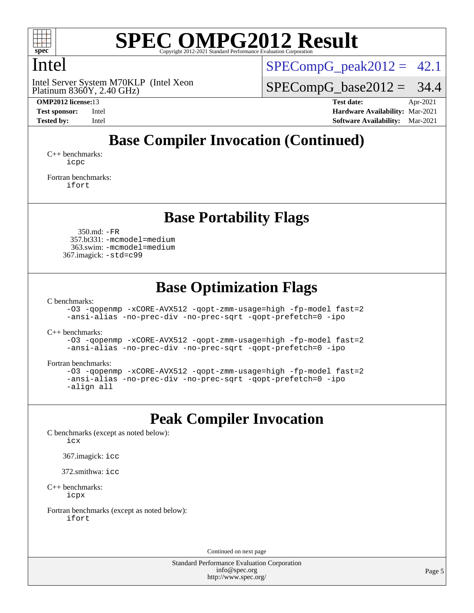

### Intel

Platinum 8360Y, 2.40 GHz) Intel Server System M70KLP (Intel Xeon  $SPECompG<sub>peak2012</sub> = 42.1$ 

 $SPECompG_base2012 = 34.4$  $SPECompG_base2012 = 34.4$ 

**[OMP2012 license:](http://www.spec.org/auto/omp2012/Docs/result-fields.html#OMP2012license)**13 **[Test date:](http://www.spec.org/auto/omp2012/Docs/result-fields.html#Testdate)** Apr-2021 **[Test sponsor:](http://www.spec.org/auto/omp2012/Docs/result-fields.html#Testsponsor)** Intel **[Hardware Availability:](http://www.spec.org/auto/omp2012/Docs/result-fields.html#HardwareAvailability)** Mar-2021 **[Tested by:](http://www.spec.org/auto/omp2012/Docs/result-fields.html#Testedby)** Intel **[Software Availability:](http://www.spec.org/auto/omp2012/Docs/result-fields.html#SoftwareAvailability)** Mar-2021

# **[Base Compiler Invocation \(Continued\)](http://www.spec.org/auto/omp2012/Docs/result-fields.html#BaseCompilerInvocation)**

[C++ benchmarks:](http://www.spec.org/auto/omp2012/Docs/result-fields.html#CXXbenchmarks) [icpc](http://www.spec.org/omp2012/results/res2021q2/omp2012-20210419-00201.flags.html#user_CXXbase_intel_icpc_2d899f8d163502b12eb4a60069f80c1c)

[Fortran benchmarks](http://www.spec.org/auto/omp2012/Docs/result-fields.html#Fortranbenchmarks): [ifort](http://www.spec.org/omp2012/results/res2021q2/omp2012-20210419-00201.flags.html#user_FCbase_intel_ifort_8a5e5e06b19a251bdeaf8fdab5d62f20)

**[Base Portability Flags](http://www.spec.org/auto/omp2012/Docs/result-fields.html#BasePortabilityFlags)**

 350.md: [-FR](http://www.spec.org/omp2012/results/res2021q2/omp2012-20210419-00201.flags.html#user_baseFPORTABILITY350_md_f-FR) 357.bt331: [-mcmodel=medium](http://www.spec.org/omp2012/results/res2021q2/omp2012-20210419-00201.flags.html#user_basePORTABILITY357_bt331_f-mcmodel_3a41622424bdd074c4f0f2d2f224c7e5) 363.swim: [-mcmodel=medium](http://www.spec.org/omp2012/results/res2021q2/omp2012-20210419-00201.flags.html#user_basePORTABILITY363_swim_f-mcmodel_3a41622424bdd074c4f0f2d2f224c7e5) 367.imagick: [-std=c99](http://www.spec.org/omp2012/results/res2021q2/omp2012-20210419-00201.flags.html#user_baseCPORTABILITY367_imagick_f-std_2ec6533b6e06f1c4a6c9b78d9e9cde24)

### **[Base Optimization Flags](http://www.spec.org/auto/omp2012/Docs/result-fields.html#BaseOptimizationFlags)**

[C benchmarks](http://www.spec.org/auto/omp2012/Docs/result-fields.html#Cbenchmarks):

[-O3](http://www.spec.org/omp2012/results/res2021q2/omp2012-20210419-00201.flags.html#user_CCbase_f-O3) [-qopenmp](http://www.spec.org/omp2012/results/res2021q2/omp2012-20210419-00201.flags.html#user_CCbase_f-qopenmp) [-xCORE-AVX512](http://www.spec.org/omp2012/results/res2021q2/omp2012-20210419-00201.flags.html#user_CCbase_f-xCORE-AVX512) [-qopt-zmm-usage=high](http://www.spec.org/omp2012/results/res2021q2/omp2012-20210419-00201.flags.html#user_CCbase_f-qopt-zmm-usage_213d857421e75f2db2f896f7900465fb) [-fp-model fast=2](http://www.spec.org/omp2012/results/res2021q2/omp2012-20210419-00201.flags.html#user_CCbase_f-fp-model_a7fb8ccb7275e23f0079632c153cfcab) [-ansi-alias](http://www.spec.org/omp2012/results/res2021q2/omp2012-20210419-00201.flags.html#user_CCbase_f-ansi-alias) [-no-prec-div](http://www.spec.org/omp2012/results/res2021q2/omp2012-20210419-00201.flags.html#user_CCbase_f-no-prec-div) [-no-prec-sqrt](http://www.spec.org/omp2012/results/res2021q2/omp2012-20210419-00201.flags.html#user_CCbase_f-no-prec-sqrt) [-qopt-prefetch=0](http://www.spec.org/omp2012/results/res2021q2/omp2012-20210419-00201.flags.html#user_CCbase_f-qopt-prefetch_ce172c705aa924d14c76f32fff3f4886) [-ipo](http://www.spec.org/omp2012/results/res2021q2/omp2012-20210419-00201.flags.html#user_CCbase_f-ipo)

[C++ benchmarks:](http://www.spec.org/auto/omp2012/Docs/result-fields.html#CXXbenchmarks)

[-O3](http://www.spec.org/omp2012/results/res2021q2/omp2012-20210419-00201.flags.html#user_CXXbase_f-O3) [-qopenmp](http://www.spec.org/omp2012/results/res2021q2/omp2012-20210419-00201.flags.html#user_CXXbase_f-qopenmp) [-xCORE-AVX512](http://www.spec.org/omp2012/results/res2021q2/omp2012-20210419-00201.flags.html#user_CXXbase_f-xCORE-AVX512) [-qopt-zmm-usage=high](http://www.spec.org/omp2012/results/res2021q2/omp2012-20210419-00201.flags.html#user_CXXbase_f-qopt-zmm-usage_213d857421e75f2db2f896f7900465fb) [-fp-model fast=2](http://www.spec.org/omp2012/results/res2021q2/omp2012-20210419-00201.flags.html#user_CXXbase_f-fp-model_a7fb8ccb7275e23f0079632c153cfcab) [-ansi-alias](http://www.spec.org/omp2012/results/res2021q2/omp2012-20210419-00201.flags.html#user_CXXbase_f-ansi-alias) [-no-prec-div](http://www.spec.org/omp2012/results/res2021q2/omp2012-20210419-00201.flags.html#user_CXXbase_f-no-prec-div) [-no-prec-sqrt](http://www.spec.org/omp2012/results/res2021q2/omp2012-20210419-00201.flags.html#user_CXXbase_f-no-prec-sqrt) [-qopt-prefetch=0](http://www.spec.org/omp2012/results/res2021q2/omp2012-20210419-00201.flags.html#user_CXXbase_f-qopt-prefetch_ce172c705aa924d14c76f32fff3f4886) [-ipo](http://www.spec.org/omp2012/results/res2021q2/omp2012-20210419-00201.flags.html#user_CXXbase_f-ipo)

[Fortran benchmarks](http://www.spec.org/auto/omp2012/Docs/result-fields.html#Fortranbenchmarks):

```
-O3 -qopenmp -xCORE-AVX512 -qopt-zmm-usage=high -fp-model fast=2
-ansi-alias -no-prec-div -no-prec-sqrt -qopt-prefetch=0 -ipo
-align all
```
## **[Peak Compiler Invocation](http://www.spec.org/auto/omp2012/Docs/result-fields.html#PeakCompilerInvocation)**

[C benchmarks \(except as noted below\)](http://www.spec.org/auto/omp2012/Docs/result-fields.html#Cbenchmarksexceptasnotedbelow):

[icx](http://www.spec.org/omp2012/results/res2021q2/omp2012-20210419-00201.flags.html#user_CCpeak_intel_icx_d761acf21947c2bbb32cbe7456ac9ae6)

367.imagick: [icc](http://www.spec.org/omp2012/results/res2021q2/omp2012-20210419-00201.flags.html#user_peakCCLD367_imagick_intel_icc_a87c68a857bc5ec5362391a49d3a37a6)

372.smithwa: [icc](http://www.spec.org/omp2012/results/res2021q2/omp2012-20210419-00201.flags.html#user_peakCCLD372_smithwa_intel_icc_a87c68a857bc5ec5362391a49d3a37a6)

[C++ benchmarks:](http://www.spec.org/auto/omp2012/Docs/result-fields.html#CXXbenchmarks) [icpx](http://www.spec.org/omp2012/results/res2021q2/omp2012-20210419-00201.flags.html#user_CXXpeak_intel_icpx_6d022741498f5bd6592570ab638faa67)

[Fortran benchmarks \(except as noted below\)](http://www.spec.org/auto/omp2012/Docs/result-fields.html#Fortranbenchmarksexceptasnotedbelow): [ifort](http://www.spec.org/omp2012/results/res2021q2/omp2012-20210419-00201.flags.html#user_FCpeak_intel_ifort_8a5e5e06b19a251bdeaf8fdab5d62f20)

Continued on next page

Standard Performance Evaluation Corporation [info@spec.org](mailto:info@spec.org) <http://www.spec.org/>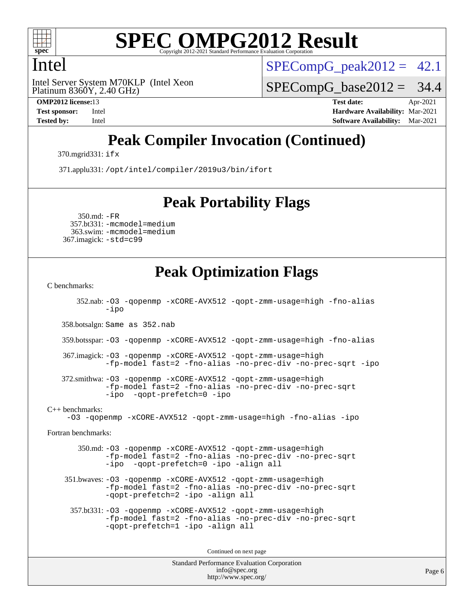

### Intel

Platinum 8360Y, 2.40 GHz) Intel Server System M70KLP (Intel Xeon  $SPECompG<sub>peak2012</sub> = 42.1$ 

 $SPECompG_base2012 = 34.4$  $SPECompG_base2012 = 34.4$ 

**[OMP2012 license:](http://www.spec.org/auto/omp2012/Docs/result-fields.html#OMP2012license)**13 **[Test date:](http://www.spec.org/auto/omp2012/Docs/result-fields.html#Testdate)** Apr-2021 **[Test sponsor:](http://www.spec.org/auto/omp2012/Docs/result-fields.html#Testsponsor)** Intel **[Hardware Availability:](http://www.spec.org/auto/omp2012/Docs/result-fields.html#HardwareAvailability)** Mar-2021 **[Tested by:](http://www.spec.org/auto/omp2012/Docs/result-fields.html#Testedby)** Intel **[Software Availability:](http://www.spec.org/auto/omp2012/Docs/result-fields.html#SoftwareAvailability)** Mar-2021

# **[Peak Compiler Invocation \(Continued\)](http://www.spec.org/auto/omp2012/Docs/result-fields.html#PeakCompilerInvocation)**

370.mgrid331: [ifx](http://www.spec.org/omp2012/results/res2021q2/omp2012-20210419-00201.flags.html#user_peakFCLD370_mgrid331_intel_ifx_b8798e41559859c58a1e8b8f45ea137c)

371.applu331: [/opt/intel/compiler/2019u3/bin/ifort](http://www.spec.org/omp2012/results/res2021q2/omp2012-20210419-00201.flags.html#user_peakFCLD371_applu331_intel_ifort_127b420565c1394e637c1e89ff0e5a0e)

#### **[Peak Portability Flags](http://www.spec.org/auto/omp2012/Docs/result-fields.html#PeakPortabilityFlags)**

 350.md: [-FR](http://www.spec.org/omp2012/results/res2021q2/omp2012-20210419-00201.flags.html#user_peakFPORTABILITY350_md_f-FR) 357.bt331: [-mcmodel=medium](http://www.spec.org/omp2012/results/res2021q2/omp2012-20210419-00201.flags.html#user_peakPORTABILITY357_bt331_f-mcmodel_3a41622424bdd074c4f0f2d2f224c7e5) 363.swim: [-mcmodel=medium](http://www.spec.org/omp2012/results/res2021q2/omp2012-20210419-00201.flags.html#user_peakPORTABILITY363_swim_f-mcmodel_3a41622424bdd074c4f0f2d2f224c7e5) 367.imagick: [-std=c99](http://www.spec.org/omp2012/results/res2021q2/omp2012-20210419-00201.flags.html#user_peakCPORTABILITY367_imagick_f-std_2ec6533b6e06f1c4a6c9b78d9e9cde24)

### **[Peak Optimization Flags](http://www.spec.org/auto/omp2012/Docs/result-fields.html#PeakOptimizationFlags)**

[C benchmarks](http://www.spec.org/auto/omp2012/Docs/result-fields.html#Cbenchmarks):

 352.nab: [-O3](http://www.spec.org/omp2012/results/res2021q2/omp2012-20210419-00201.flags.html#user_peakOPTIMIZE352_nab_f-O3) [-qopenmp](http://www.spec.org/omp2012/results/res2021q2/omp2012-20210419-00201.flags.html#user_peakOPTIMIZE352_nab_f-qopenmp) [-xCORE-AVX512](http://www.spec.org/omp2012/results/res2021q2/omp2012-20210419-00201.flags.html#user_peakOPTIMIZE352_nab_f-xCORE-AVX512) [-qopt-zmm-usage=high](http://www.spec.org/omp2012/results/res2021q2/omp2012-20210419-00201.flags.html#user_peakOPTIMIZE352_nab_f-qopt-zmm-usage_213d857421e75f2db2f896f7900465fb) [-fno-alias](http://www.spec.org/omp2012/results/res2021q2/omp2012-20210419-00201.flags.html#user_peakOPTIMIZE352_nab_f-no-alias_694e77f6c5a51e658e82ccff53a9e63a) [-ipo](http://www.spec.org/omp2012/results/res2021q2/omp2012-20210419-00201.flags.html#user_peakOPTIMIZE352_nab_f-ipo) 358.botsalgn: Same as 352.nab 359.botsspar: [-O3](http://www.spec.org/omp2012/results/res2021q2/omp2012-20210419-00201.flags.html#user_peakOPTIMIZE359_botsspar_f-O3) [-qopenmp](http://www.spec.org/omp2012/results/res2021q2/omp2012-20210419-00201.flags.html#user_peakOPTIMIZE359_botsspar_f-qopenmp) [-xCORE-AVX512](http://www.spec.org/omp2012/results/res2021q2/omp2012-20210419-00201.flags.html#user_peakOPTIMIZE359_botsspar_f-xCORE-AVX512) [-qopt-zmm-usage=high](http://www.spec.org/omp2012/results/res2021q2/omp2012-20210419-00201.flags.html#user_peakOPTIMIZE359_botsspar_f-qopt-zmm-usage_213d857421e75f2db2f896f7900465fb) [-fno-alias](http://www.spec.org/omp2012/results/res2021q2/omp2012-20210419-00201.flags.html#user_peakOPTIMIZE359_botsspar_f-no-alias_694e77f6c5a51e658e82ccff53a9e63a) 367.imagick: [-O3](http://www.spec.org/omp2012/results/res2021q2/omp2012-20210419-00201.flags.html#user_peakOPTIMIZE367_imagick_f-O3) [-qopenmp](http://www.spec.org/omp2012/results/res2021q2/omp2012-20210419-00201.flags.html#user_peakOPTIMIZE367_imagick_f-qopenmp) [-xCORE-AVX512](http://www.spec.org/omp2012/results/res2021q2/omp2012-20210419-00201.flags.html#user_peakOPTIMIZE367_imagick_f-xCORE-AVX512) [-qopt-zmm-usage=high](http://www.spec.org/omp2012/results/res2021q2/omp2012-20210419-00201.flags.html#user_peakOPTIMIZE367_imagick_f-qopt-zmm-usage_213d857421e75f2db2f896f7900465fb) [-fp-model fast=2](http://www.spec.org/omp2012/results/res2021q2/omp2012-20210419-00201.flags.html#user_peakOPTIMIZE367_imagick_f-fp-model_a7fb8ccb7275e23f0079632c153cfcab) [-fno-alias](http://www.spec.org/omp2012/results/res2021q2/omp2012-20210419-00201.flags.html#user_peakOPTIMIZE367_imagick_f-no-alias_694e77f6c5a51e658e82ccff53a9e63a) [-no-prec-div](http://www.spec.org/omp2012/results/res2021q2/omp2012-20210419-00201.flags.html#user_peakOPTIMIZE367_imagick_f-no-prec-div) [-no-prec-sqrt](http://www.spec.org/omp2012/results/res2021q2/omp2012-20210419-00201.flags.html#user_peakOPTIMIZE367_imagick_f-no-prec-sqrt) [-ipo](http://www.spec.org/omp2012/results/res2021q2/omp2012-20210419-00201.flags.html#user_peakOPTIMIZE367_imagick_f-ipo) 372.smithwa: [-O3](http://www.spec.org/omp2012/results/res2021q2/omp2012-20210419-00201.flags.html#user_peakOPTIMIZE372_smithwa_f-O3) [-qopenmp](http://www.spec.org/omp2012/results/res2021q2/omp2012-20210419-00201.flags.html#user_peakOPTIMIZE372_smithwa_f-qopenmp) [-xCORE-AVX512](http://www.spec.org/omp2012/results/res2021q2/omp2012-20210419-00201.flags.html#user_peakOPTIMIZE372_smithwa_f-xCORE-AVX512) [-qopt-zmm-usage=high](http://www.spec.org/omp2012/results/res2021q2/omp2012-20210419-00201.flags.html#user_peakOPTIMIZE372_smithwa_f-qopt-zmm-usage_213d857421e75f2db2f896f7900465fb) [-fp-model fast=2](http://www.spec.org/omp2012/results/res2021q2/omp2012-20210419-00201.flags.html#user_peakOPTIMIZE372_smithwa_f-fp-model_a7fb8ccb7275e23f0079632c153cfcab) [-fno-alias](http://www.spec.org/omp2012/results/res2021q2/omp2012-20210419-00201.flags.html#user_peakOPTIMIZE372_smithwa_f-no-alias_694e77f6c5a51e658e82ccff53a9e63a) [-no-prec-div](http://www.spec.org/omp2012/results/res2021q2/omp2012-20210419-00201.flags.html#user_peakOPTIMIZE372_smithwa_f-no-prec-div) [-no-prec-sqrt](http://www.spec.org/omp2012/results/res2021q2/omp2012-20210419-00201.flags.html#user_peakOPTIMIZE372_smithwa_f-no-prec-sqrt) [-ipo](http://www.spec.org/omp2012/results/res2021q2/omp2012-20210419-00201.flags.html#user_peakOPTIMIZE372_smithwa_f-ipo_84062ab53814f613187d02344b8f49a7) [-qopt-prefetch=0](http://www.spec.org/omp2012/results/res2021q2/omp2012-20210419-00201.flags.html#user_peakOPTIMIZE372_smithwa_f-qopt-prefetch_ce172c705aa924d14c76f32fff3f4886) [-ipo](http://www.spec.org/omp2012/results/res2021q2/omp2012-20210419-00201.flags.html#user_peakOPTIMIZE372_smithwa_f-ipo) [C++ benchmarks:](http://www.spec.org/auto/omp2012/Docs/result-fields.html#CXXbenchmarks) [-O3](http://www.spec.org/omp2012/results/res2021q2/omp2012-20210419-00201.flags.html#user_CXXpeak_f-O3) [-qopenmp](http://www.spec.org/omp2012/results/res2021q2/omp2012-20210419-00201.flags.html#user_CXXpeak_f-qopenmp) [-xCORE-AVX512](http://www.spec.org/omp2012/results/res2021q2/omp2012-20210419-00201.flags.html#user_CXXpeak_f-xCORE-AVX512) [-qopt-zmm-usage=high](http://www.spec.org/omp2012/results/res2021q2/omp2012-20210419-00201.flags.html#user_CXXpeak_f-qopt-zmm-usage_213d857421e75f2db2f896f7900465fb) [-fno-alias](http://www.spec.org/omp2012/results/res2021q2/omp2012-20210419-00201.flags.html#user_CXXpeak_f-no-alias_694e77f6c5a51e658e82ccff53a9e63a) [-ipo](http://www.spec.org/omp2012/results/res2021q2/omp2012-20210419-00201.flags.html#user_CXXpeak_f-ipo) [Fortran benchmarks](http://www.spec.org/auto/omp2012/Docs/result-fields.html#Fortranbenchmarks): 350.md: [-O3](http://www.spec.org/omp2012/results/res2021q2/omp2012-20210419-00201.flags.html#user_peakOPTIMIZE350_md_f-O3) [-qopenmp](http://www.spec.org/omp2012/results/res2021q2/omp2012-20210419-00201.flags.html#user_peakOPTIMIZE350_md_f-qopenmp) [-xCORE-AVX512](http://www.spec.org/omp2012/results/res2021q2/omp2012-20210419-00201.flags.html#user_peakOPTIMIZE350_md_f-xCORE-AVX512) [-qopt-zmm-usage=high](http://www.spec.org/omp2012/results/res2021q2/omp2012-20210419-00201.flags.html#user_peakOPTIMIZE350_md_f-qopt-zmm-usage_213d857421e75f2db2f896f7900465fb) [-fp-model fast=2](http://www.spec.org/omp2012/results/res2021q2/omp2012-20210419-00201.flags.html#user_peakOPTIMIZE350_md_f-fp-model_a7fb8ccb7275e23f0079632c153cfcab) [-fno-alias](http://www.spec.org/omp2012/results/res2021q2/omp2012-20210419-00201.flags.html#user_peakOPTIMIZE350_md_f-no-alias_694e77f6c5a51e658e82ccff53a9e63a) [-no-prec-div](http://www.spec.org/omp2012/results/res2021q2/omp2012-20210419-00201.flags.html#user_peakOPTIMIZE350_md_f-no-prec-div) [-no-prec-sqrt](http://www.spec.org/omp2012/results/res2021q2/omp2012-20210419-00201.flags.html#user_peakOPTIMIZE350_md_f-no-prec-sqrt) [-ipo](http://www.spec.org/omp2012/results/res2021q2/omp2012-20210419-00201.flags.html#user_peakOPTIMIZE350_md_f-ipo_84062ab53814f613187d02344b8f49a7) [-qopt-prefetch=0](http://www.spec.org/omp2012/results/res2021q2/omp2012-20210419-00201.flags.html#user_peakOPTIMIZE350_md_f-qopt-prefetch_ce172c705aa924d14c76f32fff3f4886) [-ipo](http://www.spec.org/omp2012/results/res2021q2/omp2012-20210419-00201.flags.html#user_peakOPTIMIZE350_md_f-ipo) [-align all](http://www.spec.org/omp2012/results/res2021q2/omp2012-20210419-00201.flags.html#user_peakFOPTIMIZE350_md_f-align_1ebfa66158b49aff21b037afc4046011) 351.bwaves: [-O3](http://www.spec.org/omp2012/results/res2021q2/omp2012-20210419-00201.flags.html#user_peakOPTIMIZE351_bwaves_f-O3) [-qopenmp](http://www.spec.org/omp2012/results/res2021q2/omp2012-20210419-00201.flags.html#user_peakOPTIMIZE351_bwaves_f-qopenmp) [-xCORE-AVX512](http://www.spec.org/omp2012/results/res2021q2/omp2012-20210419-00201.flags.html#user_peakOPTIMIZE351_bwaves_f-xCORE-AVX512) [-qopt-zmm-usage=high](http://www.spec.org/omp2012/results/res2021q2/omp2012-20210419-00201.flags.html#user_peakOPTIMIZE351_bwaves_f-qopt-zmm-usage_213d857421e75f2db2f896f7900465fb) [-fp-model fast=2](http://www.spec.org/omp2012/results/res2021q2/omp2012-20210419-00201.flags.html#user_peakOPTIMIZE351_bwaves_f-fp-model_a7fb8ccb7275e23f0079632c153cfcab) [-fno-alias](http://www.spec.org/omp2012/results/res2021q2/omp2012-20210419-00201.flags.html#user_peakOPTIMIZE351_bwaves_f-no-alias_694e77f6c5a51e658e82ccff53a9e63a) [-no-prec-div](http://www.spec.org/omp2012/results/res2021q2/omp2012-20210419-00201.flags.html#user_peakOPTIMIZE351_bwaves_f-no-prec-div) [-no-prec-sqrt](http://www.spec.org/omp2012/results/res2021q2/omp2012-20210419-00201.flags.html#user_peakOPTIMIZE351_bwaves_f-no-prec-sqrt) [-qopt-prefetch=2](http://www.spec.org/omp2012/results/res2021q2/omp2012-20210419-00201.flags.html#user_peakOPTIMIZE351_bwaves_f-qopt-prefetch_5dd8eff5680869f15030b88dfb173050) [-ipo](http://www.spec.org/omp2012/results/res2021q2/omp2012-20210419-00201.flags.html#user_peakOPTIMIZE351_bwaves_f-ipo) [-align all](http://www.spec.org/omp2012/results/res2021q2/omp2012-20210419-00201.flags.html#user_peakFOPTIMIZE351_bwaves_f-align_1ebfa66158b49aff21b037afc4046011) 357.bt331: [-O3](http://www.spec.org/omp2012/results/res2021q2/omp2012-20210419-00201.flags.html#user_peakOPTIMIZE357_bt331_f-O3) [-qopenmp](http://www.spec.org/omp2012/results/res2021q2/omp2012-20210419-00201.flags.html#user_peakOPTIMIZE357_bt331_f-qopenmp) [-xCORE-AVX512](http://www.spec.org/omp2012/results/res2021q2/omp2012-20210419-00201.flags.html#user_peakOPTIMIZE357_bt331_f-xCORE-AVX512) [-qopt-zmm-usage=high](http://www.spec.org/omp2012/results/res2021q2/omp2012-20210419-00201.flags.html#user_peakOPTIMIZE357_bt331_f-qopt-zmm-usage_213d857421e75f2db2f896f7900465fb) [-fp-model fast=2](http://www.spec.org/omp2012/results/res2021q2/omp2012-20210419-00201.flags.html#user_peakOPTIMIZE357_bt331_f-fp-model_a7fb8ccb7275e23f0079632c153cfcab) [-fno-alias](http://www.spec.org/omp2012/results/res2021q2/omp2012-20210419-00201.flags.html#user_peakOPTIMIZE357_bt331_f-no-alias_694e77f6c5a51e658e82ccff53a9e63a) [-no-prec-div](http://www.spec.org/omp2012/results/res2021q2/omp2012-20210419-00201.flags.html#user_peakOPTIMIZE357_bt331_f-no-prec-div) [-no-prec-sqrt](http://www.spec.org/omp2012/results/res2021q2/omp2012-20210419-00201.flags.html#user_peakOPTIMIZE357_bt331_f-no-prec-sqrt) [-qopt-prefetch=1](http://www.spec.org/omp2012/results/res2021q2/omp2012-20210419-00201.flags.html#user_peakOPTIMIZE357_bt331_f-qopt-prefetch_9097ad9b78e4401c727c33237ff25d7e) [-ipo](http://www.spec.org/omp2012/results/res2021q2/omp2012-20210419-00201.flags.html#user_peakOPTIMIZE357_bt331_f-ipo) [-align all](http://www.spec.org/omp2012/results/res2021q2/omp2012-20210419-00201.flags.html#user_peakFOPTIMIZE357_bt331_f-align_1ebfa66158b49aff21b037afc4046011) Continued on next page

Standard Performance Evaluation Corporation [info@spec.org](mailto:info@spec.org) <http://www.spec.org/>